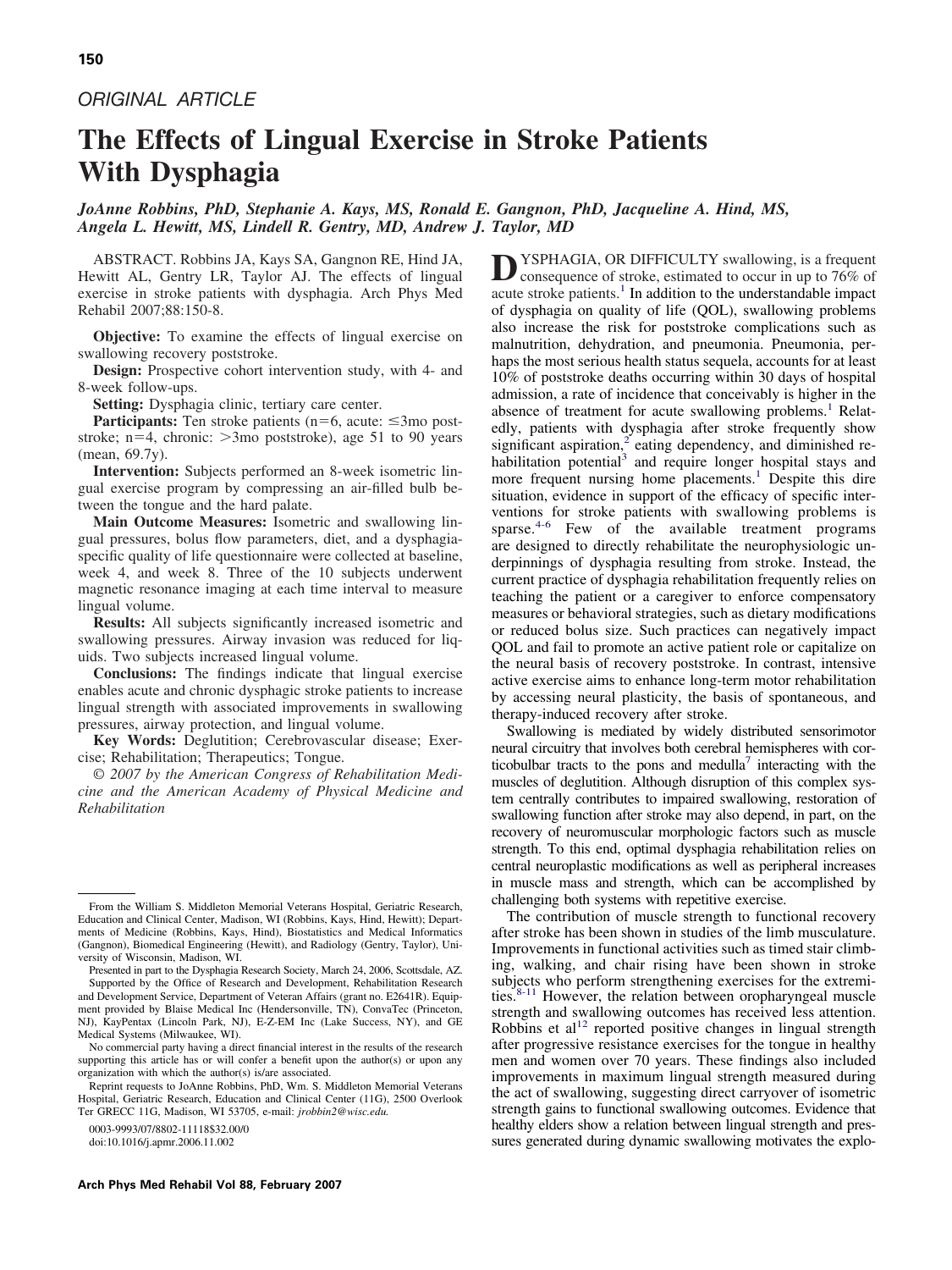# *ORIGINAL ARTICLE*

# **The Effects of Lingual Exercise in Stroke Patients With Dysphagia**

# *JoAnne Robbins, PhD, Stephanie A. Kays, MS, Ronald E. Gangnon, PhD, Jacqueline A. Hind, MS, Angela L. Hewitt, MS, Lindell R. Gentry, MD, Andrew J. Taylor, MD*

ABSTRACT. Robbins JA, Kays SA, Gangnon RE, Hind JA, Hewitt AL, Gentry LR, Taylor AJ. The effects of lingual exercise in stroke patients with dysphagia. Arch Phys Med Rehabil 2007;88:150-8.

**Objective:** To examine the effects of lingual exercise on swallowing recovery poststroke.

**Design:** Prospective cohort intervention study, with 4- and 8-week follow-ups.

**Setting:** Dysphagia clinic, tertiary care center.

**Participants:** Ten stroke patients ( $n=6$ , acute:  $\leq 3$ mo poststroke; n=4, chronic: >3mo poststroke), age 51 to 90 years (mean, 69.7y).

**Intervention:** Subjects performed an 8-week isometric lingual exercise program by compressing an air-filled bulb between the tongue and the hard palate.

**Main Outcome Measures:** Isometric and swallowing lingual pressures, bolus flow parameters, diet, and a dysphagiaspecific quality of life questionnaire were collected at baseline, week 4, and week 8. Three of the 10 subjects underwent magnetic resonance imaging at each time interval to measure lingual volume.

**Results:** All subjects significantly increased isometric and swallowing pressures. Airway invasion was reduced for liquids. Two subjects increased lingual volume.

**Conclusions:** The findings indicate that lingual exercise enables acute and chronic dysphagic stroke patients to increase lingual strength with associated improvements in swallowing pressures, airway protection, and lingual volume.

**Key Words:** Deglutition; Cerebrovascular disease; Exercise; Rehabilitation; Therapeutics; Tongue.

© *2007 by the American Congress of Rehabilitation Medicine and the American Academy of Physical Medicine and Rehabilitation*

doi:10.1016/j.apmr.2006.11.002

**D**YSPHAGIA, OR DIFFICULTY swallowing, is a frequent consequence of stroke, estimated to occur in up to 76% of acute stroke patients. $<sup>1</sup>$  $<sup>1</sup>$  $<sup>1</sup>$  In addition to the understandable impact</sup> of dysphagia on quality of life (QOL), swallowing problems also increase the risk for poststroke complications such as malnutrition, dehydration, and pneumonia. Pneumonia, perhaps the most serious health status sequela, accounts for at least 10% of poststroke deaths occurring within 30 days of hospital admission, a rate of incidence that conceivably is higher in the absence of treatment for acute swallowing problems.<sup>[1](#page-8-0)</sup> Relatedly, patients with dysphagia after stroke frequently show significant aspiration, $\alpha$ <sup>[2](#page-8-0)</sup> eating dependency, and diminished re-habilitation potential<sup>[3](#page-8-0)</sup> and require longer hospital stays and more frequent nursing home placements.<sup>[1](#page-8-0)</sup> Despite this dire situation, evidence in support of the efficacy of specific interventions for stroke patients with swallowing problems is sparse. $4-6$  Few of the available treatment programs are designed to directly rehabilitate the neurophysiologic underpinnings of dysphagia resulting from stroke. Instead, the current practice of dysphagia rehabilitation frequently relies on teaching the patient or a caregiver to enforce compensatory measures or behavioral strategies, such as dietary modifications or reduced bolus size. Such practices can negatively impact QOL and fail to promote an active patient role or capitalize on the neural basis of recovery poststroke. In contrast, intensive active exercise aims to enhance long-term motor rehabilitation by accessing neural plasticity, the basis of spontaneous, and therapy-induced recovery after stroke.

Swallowing is mediated by widely distributed sensorimotor neural circuitry that involves both cerebral hemispheres with corticobulbar tracts to the pons and medulla<sup>7</sup> interacting with the muscles of deglutition. Although disruption of this complex system centrally contributes to impaired swallowing, restoration of swallowing function after stroke may also depend, in part, on the recovery of neuromuscular morphologic factors such as muscle strength. To this end, optimal dysphagia rehabilitation relies on central neuroplastic modifications as well as peripheral increases in muscle mass and strength, which can be accomplished by challenging both systems with repetitive exercise.

The contribution of muscle strength to functional recovery after stroke has been shown in studies of the limb musculature. Improvements in functional activities such as timed stair climbing, walking, and chair rising have been shown in stroke subjects who perform strengthening exercises for the extremi-ties.<sup>[8-11](#page-8-0)</sup> However, the relation between oropharyngeal muscle strength and swallowing outcomes has received less attention. Robbins et  $al<sup>12</sup>$  $al<sup>12</sup>$  $al<sup>12</sup>$  reported positive changes in lingual strength after progressive resistance exercises for the tongue in healthy men and women over 70 years. These findings also included improvements in maximum lingual strength measured during the act of swallowing, suggesting direct carryover of isometric strength gains to functional swallowing outcomes. Evidence that healthy elders show a relation between lingual strength and pressures generated during dynamic swallowing motivates the explo-

From the William S. Middleton Memorial Veterans Hospital, Geriatric Research, Education and Clinical Center, Madison, WI (Robbins, Kays, Hind, Hewitt); Departments of Medicine (Robbins, Kays, Hind), Biostatistics and Medical Informatics (Gangnon), Biomedical Engineering (Hewitt), and Radiology (Gentry, Taylor), University of Wisconsin, Madison, WI.

Presented in part to the Dysphagia Research Society, March 24, 2006, Scottsdale, AZ. Supported by the Office of Research and Development, Rehabilitation Research and Development Service, Department of Veteran Affairs (grant no. E2641R). Equipment provided by Blaise Medical Inc (Hendersonville, TN), ConvaTec (Princeton, NJ), KayPentax (Lincoln Park, NJ), E-Z-EM Inc (Lake Success, NY), and GE Medical Systems (Milwaukee, WI).

No commercial party having a direct financial interest in the results of the research supporting this article has or will confer a benefit upon the author(s) or upon any organization with which the author(s) is/are associated.

Reprint requests to JoAnne Robbins, PhD, Wm. S. Middleton Memorial Veterans Hospital, Geriatric Research, Education and Clinical Center (11G), 2500 Overlook Ter GRECC 11G, Madison, WI 53705, e-mail: *jrobbin2@wisc.edu.*

<sup>0003-9993/07/8802-11118\$32.00/0</sup>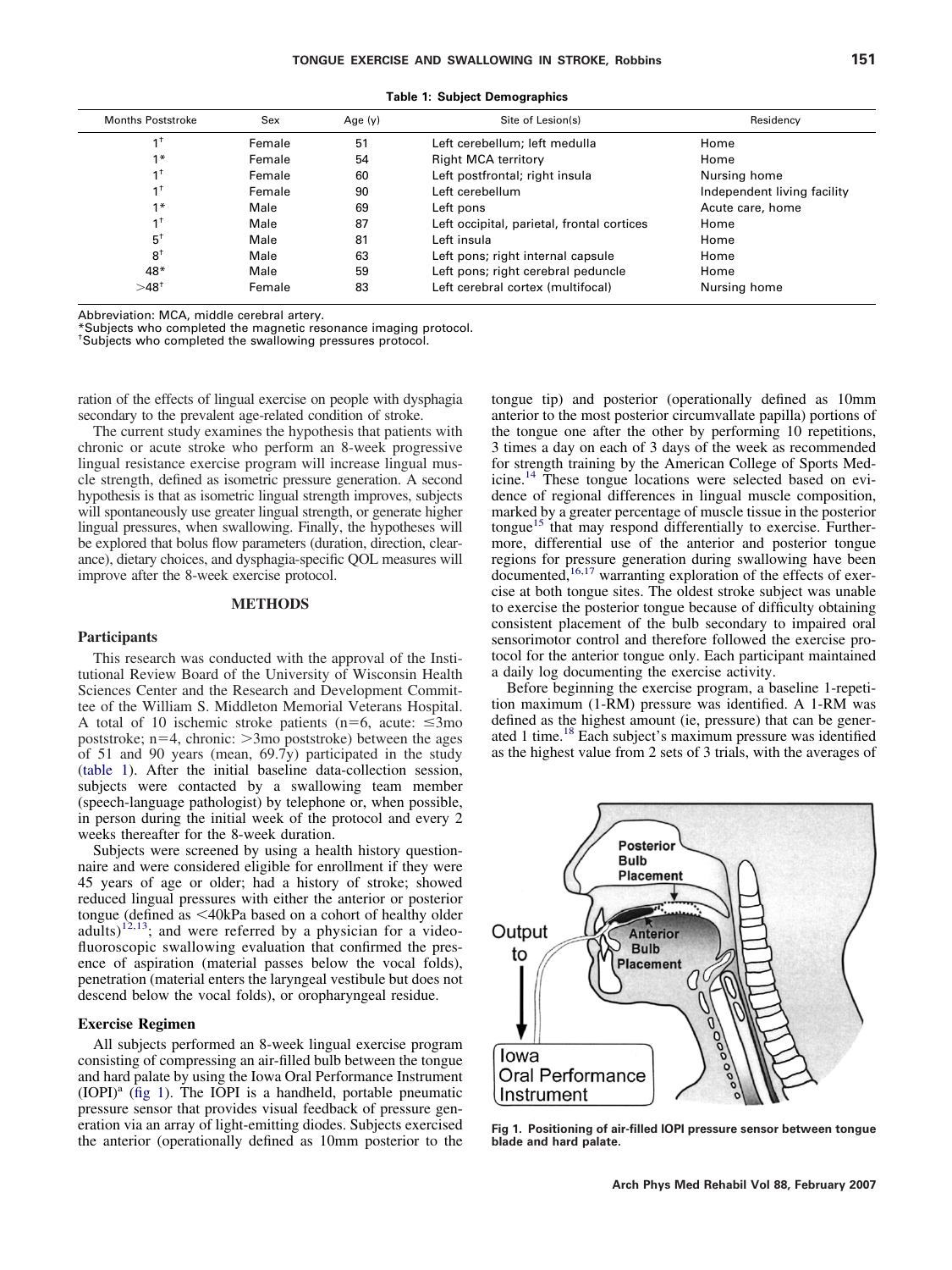<span id="page-1-0"></span>

| <b>Months Poststroke</b> | Sex    |    | Site of Lesion(s)                          | Residency                   |  |
|--------------------------|--------|----|--------------------------------------------|-----------------------------|--|
| $1^+$                    | Female | 51 | Left cerebellum; left medulla              | Home                        |  |
| $1*$                     | Female | 54 | <b>Right MCA territory</b>                 | Home                        |  |
| $1^{\dagger}$            | Female | 60 | Left postfrontal; right insula             | Nursing home                |  |
| $1^+$                    | Female | 90 | Left cerebellum                            | Independent living facility |  |
| $1*$                     | Male   | 69 | Left pons                                  | Acute care, home            |  |
| $1^{\dagger}$            | Male   | 87 | Left occipital, parietal, frontal cortices | Home                        |  |
| $5^{\dagger}$            | Male   | 81 | Left insula                                | Home                        |  |
| $8^+$                    | Male   | 63 | Left pons; right internal capsule          | Home                        |  |
| $48*$                    | Male   | 59 | Left pons; right cerebral peduncle         | Home                        |  |
| $>48^{+}$                | Female | 83 | Left cerebral cortex (multifocal)          | Nursing home                |  |

**Table 1: Subject Demographics**

Abbreviation: MCA, middle cerebral artery.

\*Subjects who completed the magnetic resonance imaging protocol.

† Subjects who completed the swallowing pressures protocol.

ration of the effects of lingual exercise on people with dysphagia secondary to the prevalent age-related condition of stroke.

The current study examines the hypothesis that patients with chronic or acute stroke who perform an 8-week progressive lingual resistance exercise program will increase lingual muscle strength, defined as isometric pressure generation. A second hypothesis is that as isometric lingual strength improves, subjects will spontaneously use greater lingual strength, or generate higher lingual pressures, when swallowing. Finally, the hypotheses will be explored that bolus flow parameters (duration, direction, clearance), dietary choices, and dysphagia-specific QOL measures will improve after the 8-week exercise protocol.

#### **METHODS**

#### **Participants**

This research was conducted with the approval of the Institutional Review Board of the University of Wisconsin Health Sciences Center and the Research and Development Committee of the William S. Middleton Memorial Veterans Hospital. A total of 10 ischemic stroke patients ( $n=6$ , acute:  $\leq 3$ mo poststroke;  $n=4$ , chronic:  $>3$ mo poststroke) between the ages of 51 and 90 years (mean,  $69.7y$ ) participated in the study (table 1). After the initial baseline data-collection session, subjects were contacted by a swallowing team member (speech-language pathologist) by telephone or, when possible, in person during the initial week of the protocol and every 2 weeks thereafter for the 8-week duration.

Subjects were screened by using a health history questionnaire and were considered eligible for enrollment if they were 45 years of age or older; had a history of stroke; showed reduced lingual pressures with either the anterior or posterior tongue (defined as  $\leq 40$ kPa based on a cohort of healthy older adults)<sup>12,13</sup>; and were referred by a physician for a videofluoroscopic swallowing evaluation that confirmed the presence of aspiration (material passes below the vocal folds), penetration (material enters the laryngeal vestibule but does not descend below the vocal folds), or oropharyngeal residue.

## **Exercise Regimen**

All subjects performed an 8-week lingual exercise program consisting of compressing an air-filled bulb between the tongue and hard palate by using the Iowa Oral Performance Instrument  $(IOPI)<sup>a</sup>$  (fig 1). The IOPI is a handheld, portable pneumatic pressure sensor that provides visual feedback of pressure generation via an array of light-emitting diodes. Subjects exercised the anterior (operationally defined as 10mm posterior to the tongue tip) and posterior (operationally defined as 10mm anterior to the most posterior circumvallate papilla) portions of the tongue one after the other by performing 10 repetitions, 3 times a day on each of 3 days of the week as recommended for strength training by the American College of Sports Medicine.[14](#page-8-0) These tongue locations were selected based on evidence of regional differences in lingual muscle composition, marked by a greater percentage of muscle tissue in the posterior tongue<sup>[15](#page-8-0)</sup> that may respond differentially to exercise. Furthermore, differential use of the anterior and posterior tongue regions for pressure generation during swallowing have been documented,<sup>[16,17](#page-8-0)</sup> warranting exploration of the effects of exercise at both tongue sites. The oldest stroke subject was unable to exercise the posterior tongue because of difficulty obtaining consistent placement of the bulb secondary to impaired oral sensorimotor control and therefore followed the exercise protocol for the anterior tongue only. Each participant maintained a daily log documenting the exercise activity.

Before beginning the exercise program, a baseline 1-repetition maximum (1-RM) pressure was identified. A 1-RM was defined as the highest amount (ie, pressure) that can be generated 1 time.[18](#page-8-0) Each subject's maximum pressure was identified as the highest value from 2 sets of 3 trials, with the averages of



**Fig 1. Positioning of air-filled IOPI pressure sensor between tongue blade and hard palate.**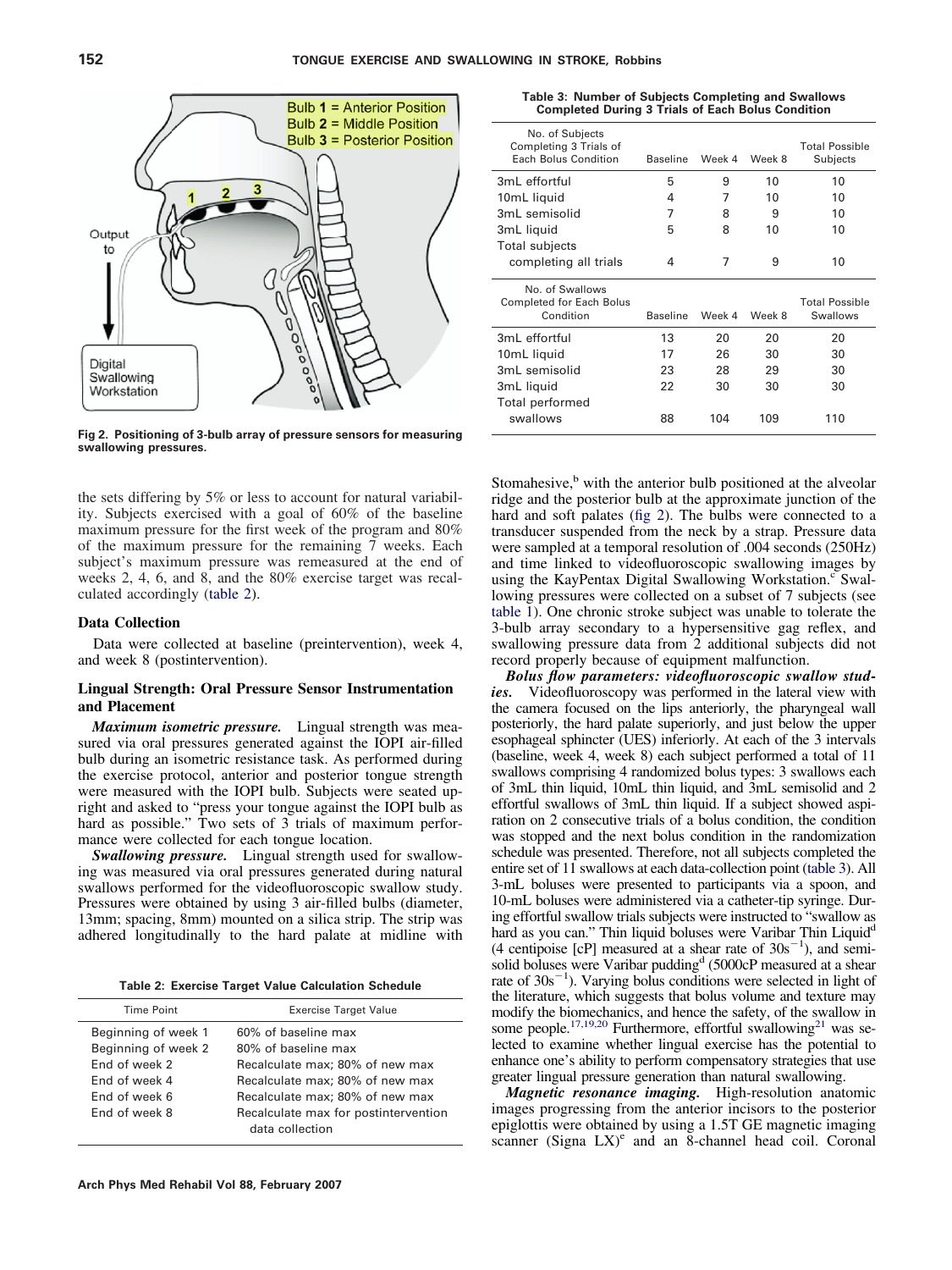<span id="page-2-0"></span>

**Fig 2. Positioning of 3-bulb array of pressure sensors for measuring swallowing pressures.**

the sets differing by 5% or less to account for natural variability. Subjects exercised with a goal of 60% of the baseline maximum pressure for the first week of the program and 80% of the maximum pressure for the remaining 7 weeks. Each subject's maximum pressure was remeasured at the end of weeks 2, 4, 6, and 8, and the 80% exercise target was recalculated accordingly (table 2).

## **Data Collection**

Data were collected at baseline (preintervention), week 4, and week 8 (postintervention).

## **Lingual Strength: Oral Pressure Sensor Instrumentation and Placement**

*Maximum isometric pressure.* Lingual strength was measured via oral pressures generated against the IOPI air-filled bulb during an isometric resistance task. As performed during the exercise protocol, anterior and posterior tongue strength were measured with the IOPI bulb. Subjects were seated upright and asked to "press your tongue against the IOPI bulb as hard as possible." Two sets of 3 trials of maximum performance were collected for each tongue location.

*Swallowing pressure.* Lingual strength used for swallowing was measured via oral pressures generated during natural swallows performed for the videofluoroscopic swallow study. Pressures were obtained by using 3 air-filled bulbs (diameter, 13mm; spacing, 8mm) mounted on a silica strip. The strip was adhered longitudinally to the hard palate at midline with

**Table 2: Exercise Target Value Calculation Schedule**

| Time Point                                                                                    | <b>Exercise Target Value</b>                                                                                                                        |
|-----------------------------------------------------------------------------------------------|-----------------------------------------------------------------------------------------------------------------------------------------------------|
| Beginning of week 1<br>Beginning of week 2<br>End of week 2<br>End of week 4<br>End of week 6 | 60% of baseline max<br>80% of baseline max<br>Recalculate max; 80% of new max<br>Recalculate max; 80% of new max<br>Recalculate max; 80% of new max |
| End of week 8                                                                                 | Recalculate max for postintervention<br>data collection                                                                                             |

|  |  | Table 3: Number of Subjects Completing and Swallows      |
|--|--|----------------------------------------------------------|
|  |  | <b>Completed During 3 Trials of Each Bolus Condition</b> |

| No. of Subjects<br>Completing 3 Trials of<br>Each Bolus Condition | Baseline        | Week 4 | Week 8 | <b>Total Possible</b><br>Subjects |
|-------------------------------------------------------------------|-----------------|--------|--------|-----------------------------------|
| 3ml effortful                                                     | 5               | 9      | 10     | 10                                |
| 10mL liquid                                                       | 4               | 7      | 10     | 10                                |
| 3mL semisolid                                                     | 7               | 8      | 9      | 10                                |
| 3mL liquid                                                        | 5               | 8      | 10     | 10                                |
| Total subjects<br>completing all trials                           | 4               | 7      | 9      | 10                                |
|                                                                   |                 |        |        |                                   |
| No. of Swallows<br>Completed for Each Bolus<br>Condition          | <b>Baseline</b> | Week 4 | Week 8 | <b>Total Possible</b><br>Swallows |
| 3mL effortful                                                     | 13              | 20     | 20     | 20                                |
| 10mL liquid                                                       | 17              | 26     | 30     | 30                                |
| 3mL semisolid                                                     | 23              | 28     | 29     | 30                                |
| 3mL liquid                                                        | 22              | 30     | 30     | 30                                |

Stomahesive, $\frac{b}{b}$  with the anterior bulb positioned at the alveolar ridge and the posterior bulb at the approximate junction of the hard and soft palates (fig 2). The bulbs were connected to a transducer suspended from the neck by a strap. Pressure data were sampled at a temporal resolution of .004 seconds (250Hz) and time linked to videofluoroscopic swallowing images by using the KayPentax Digital Swallowing Workstation.<sup>c</sup> Swallowing pressures were collected on a subset of 7 subjects (see [table 1\)](#page-1-0). One chronic stroke subject was unable to tolerate the 3-bulb array secondary to a hypersensitive gag reflex, and swallowing pressure data from 2 additional subjects did not record properly because of equipment malfunction.

*Bolus flow parameters: videofluoroscopic swallow studies.* Videofluoroscopy was performed in the lateral view with the camera focused on the lips anteriorly, the pharyngeal wall posteriorly, the hard palate superiorly, and just below the upper esophageal sphincter (UES) inferiorly. At each of the 3 intervals (baseline, week 4, week 8) each subject performed a total of 11 swallows comprising 4 randomized bolus types: 3 swallows each of 3mL thin liquid, 10mL thin liquid, and 3mL semisolid and 2 effortful swallows of 3mL thin liquid. If a subject showed aspiration on 2 consecutive trials of a bolus condition, the condition was stopped and the next bolus condition in the randomization schedule was presented. Therefore, not all subjects completed the entire set of 11 swallows at each data-collection point (table 3). All 3-mL boluses were presented to participants via a spoon, and 10-mL boluses were administered via a catheter-tip syringe. During effortful swallow trials subjects were instructed to "swallow as hard as you can." Thin liquid boluses were Varibar Thin Liquid<sup>d</sup> (4 centipoise [cP] measured at a shear rate of  $30s^{-1}$ ), and semisolid boluses were Varibar pudding<sup>d</sup> (5000cP measured at a shear rate of  $30s^{-1}$ ). Varying bolus conditions were selected in light of the literature, which suggests that bolus volume and texture may modify the biomechanics, and hence the safety, of the swallow in some people.<sup>17,19,20</sup> Furthermore, effortful swallowing<sup>21</sup> was selected to examine whether lingual exercise has the potential to enhance one's ability to perform compensatory strategies that use greater lingual pressure generation than natural swallowing.

*Magnetic resonance imaging.* High-resolution anatomic images progressing from the anterior incisors to the posterior epiglottis were obtained by using a 1.5T GE magnetic imaging scanner (Signa LX)<sup>e</sup> and an 8-channel head coil. Coronal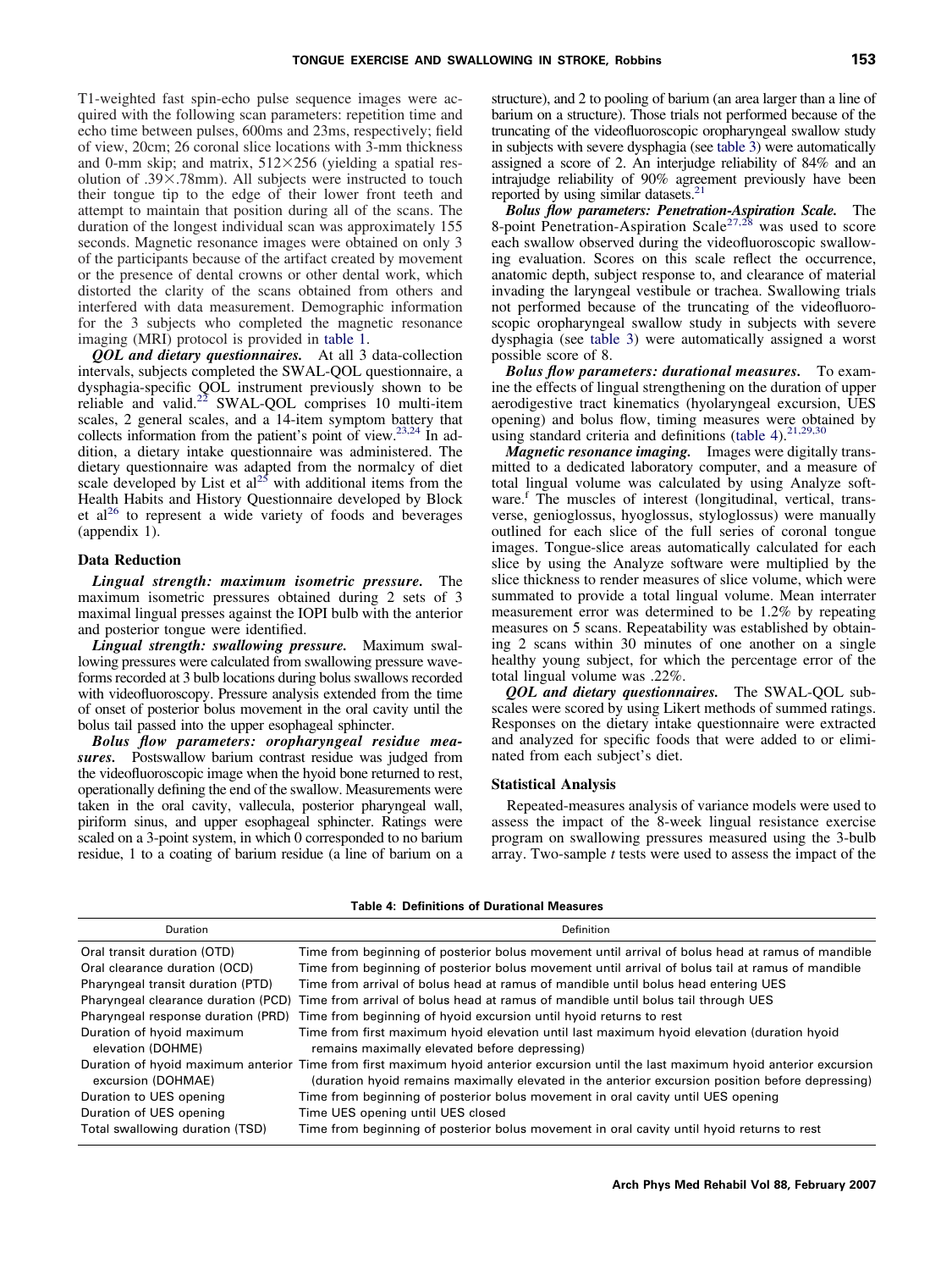<span id="page-3-0"></span>T1-weighted fast spin-echo pulse sequence images were acquired with the following scan parameters: repetition time and echo time between pulses, 600ms and 23ms, respectively; field of view, 20cm; 26 coronal slice locations with 3-mm thickness and 0-mm skip; and matrix,  $512 \times 256$  (yielding a spatial resolution of .39×.78mm). All subjects were instructed to touch their tongue tip to the edge of their lower front teeth and attempt to maintain that position during all of the scans. The duration of the longest individual scan was approximately 155 seconds. Magnetic resonance images were obtained on only 3 of the participants because of the artifact created by movement or the presence of dental crowns or other dental work, which distorted the clarity of the scans obtained from others and interfered with data measurement. Demographic information for the 3 subjects who completed the magnetic resonance imaging (MRI) protocol is provided in [table 1.](#page-1-0)

*QOL and dietary questionnaires.* At all 3 data-collection intervals, subjects completed the SWAL-QOL questionnaire, a dysphagia-specific QOL instrument previously shown to be reliable and valid.[22](#page-8-0) SWAL-QOL comprises 10 multi-item scales, 2 general scales, and a 14-item symptom battery that collects information from the patient's point of view[.23,24](#page-8-0) In addition, a dietary intake questionnaire was administered. The dietary questionnaire was adapted from the normalcy of diet scale developed by List et  $al^{25}$  $al^{25}$  $al^{25}$  with additional items from the Health Habits and History Questionnaire developed by Block et al<sup>[26](#page-8-0)</sup> to represent a wide variety of foods and beverages (appendix 1).

#### **Data Reduction**

*Lingual strength: maximum isometric pressure.* The maximum isometric pressures obtained during 2 sets of 3 maximal lingual presses against the IOPI bulb with the anterior and posterior tongue were identified.

*Lingual strength: swallowing pressure.* Maximum swallowing pressures were calculated from swallowing pressure waveforms recorded at 3 bulb locations during bolus swallows recorded with videofluoroscopy. Pressure analysis extended from the time of onset of posterior bolus movement in the oral cavity until the bolus tail passed into the upper esophageal sphincter.

*Bolus flow parameters: oropharyngeal residue measures.* Postswallow barium contrast residue was judged from the videofluoroscopic image when the hyoid bone returned to rest, operationally defining the end of the swallow. Measurements were taken in the oral cavity, vallecula, posterior pharyngeal wall, piriform sinus, and upper esophageal sphincter. Ratings were scaled on a 3-point system, in which 0 corresponded to no barium residue, 1 to a coating of barium residue (a line of barium on a

structure), and 2 to pooling of barium (an area larger than a line of barium on a structure). Those trials not performed because of the truncating of the videofluoroscopic oropharyngeal swallow study in subjects with severe dysphagia (see [table 3\)](#page-2-0) were automatically assigned a score of 2. An interjudge reliability of 84% and an intrajudge reliability of 90% agreement previously have been reported by using similar datasets.<sup>21</sup>

*Bolus flow parameters: Penetration-Aspiration Scale.* The 8-point Penetration-Aspiration Scale<sup>[27,28](#page-8-0)</sup> was used to score each swallow observed during the videofluoroscopic swallowing evaluation. Scores on this scale reflect the occurrence, anatomic depth, subject response to, and clearance of material invading the laryngeal vestibule or trachea. Swallowing trials not performed because of the truncating of the videofluoroscopic oropharyngeal swallow study in subjects with severe dysphagia (see [table 3\)](#page-2-0) were automatically assigned a worst possible score of 8.

*Bolus flow parameters: durational measures.* To examine the effects of lingual strengthening on the duration of upper aerodigestive tract kinematics (hyolaryngeal excursion, UES opening) and bolus flow, timing measures were obtained by using standard criteria and definitions (table 4). $21,29,30$ 

*Magnetic resonance imaging.* Images were digitally transmitted to a dedicated laboratory computer, and a measure of total lingual volume was calculated by using Analyze software.<sup>f</sup> The muscles of interest (longitudinal, vertical, transverse, genioglossus, hyoglossus, styloglossus) were manually outlined for each slice of the full series of coronal tongue images. Tongue-slice areas automatically calculated for each slice by using the Analyze software were multiplied by the slice thickness to render measures of slice volume, which were summated to provide a total lingual volume. Mean interrater measurement error was determined to be 1.2% by repeating measures on 5 scans. Repeatability was established by obtaining 2 scans within 30 minutes of one another on a single healthy young subject, for which the percentage error of the total lingual volume was .22%.

*QOL and dietary questionnaires.* The SWAL-QOL subscales were scored by using Likert methods of summed ratings. Responses on the dietary intake questionnaire were extracted and analyzed for specific foods that were added to or eliminated from each subject's diet.

#### **Statistical Analysis**

Repeated-measures analysis of variance models were used to assess the impact of the 8-week lingual resistance exercise program on swallowing pressures measured using the 3-bulb array. Two-sample *t* tests were used to assess the impact of the

| <b>Table 4: Definitions of Durational Measures</b> |  |  |  |
|----------------------------------------------------|--|--|--|
|----------------------------------------------------|--|--|--|

| Duration                                       | Definition                                                                                                                                                                                                                              |
|------------------------------------------------|-----------------------------------------------------------------------------------------------------------------------------------------------------------------------------------------------------------------------------------------|
| Oral transit duration (OTD)                    | Time from beginning of posterior bolus movement until arrival of bolus head at ramus of mandible                                                                                                                                        |
| Oral clearance duration (OCD)                  | Time from beginning of posterior bolus movement until arrival of bolus tail at ramus of mandible                                                                                                                                        |
| Pharyngeal transit duration (PTD)              | Time from arrival of bolus head at ramus of mandible until bolus head entering UES                                                                                                                                                      |
| Pharyngeal clearance duration (PCD)            | Time from arrival of bolus head at ramus of mandible until bolus tail through UES                                                                                                                                                       |
| Pharyngeal response duration (PRD)             | Time from beginning of hyoid excursion until hyoid returns to rest                                                                                                                                                                      |
| Duration of hyoid maximum<br>elevation (DOHME) | Time from first maximum hyoid elevation until last maximum hyoid elevation (duration hyoid<br>remains maximally elevated before depressing)                                                                                             |
| excursion (DOHMAE)                             | Duration of hyoid maximum anterior Time from first maximum hyoid anterior excursion until the last maximum hyoid anterior excursion<br>(duration hyoid remains maximally elevated in the anterior excursion position before depressing) |
| Duration to UES opening                        | Time from beginning of posterior bolus movement in oral cavity until UES opening                                                                                                                                                        |
| Duration of UES opening                        | Time UES opening until UES closed                                                                                                                                                                                                       |
| Total swallowing duration (TSD)                | Time from beginning of posterior bolus movement in oral cavity until hyoid returns to rest                                                                                                                                              |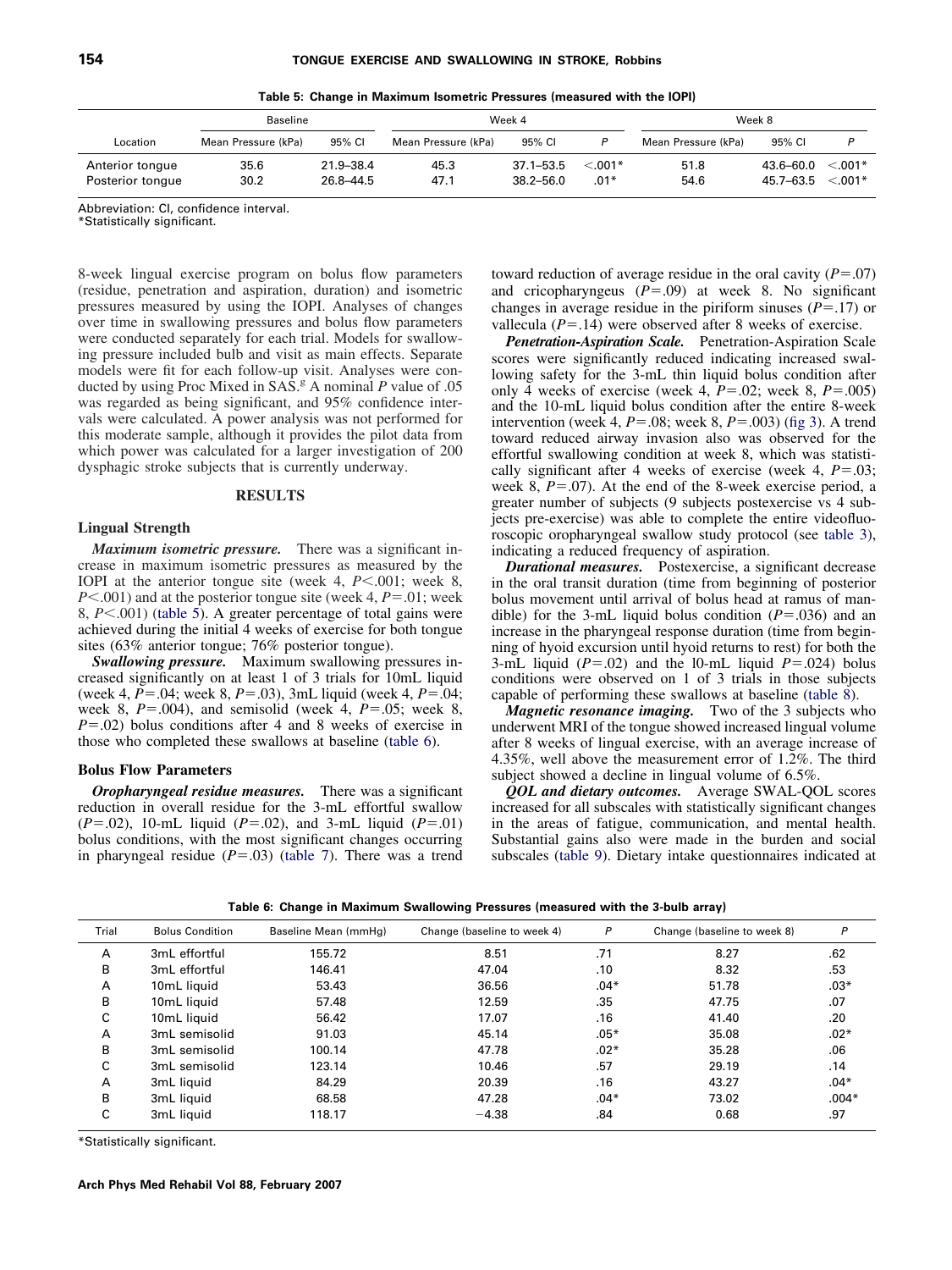|  |  | Table 5: Change in Maximum Isometric Pressures (measured with the IOPI) |  |  |  |  |  |  |
|--|--|-------------------------------------------------------------------------|--|--|--|--|--|--|
|--|--|-------------------------------------------------------------------------|--|--|--|--|--|--|

<span id="page-4-0"></span>

|                                     | <b>Baseline</b>     |                        | Week 4              |                                |                     | Week 8              |                            |                        |
|-------------------------------------|---------------------|------------------------|---------------------|--------------------------------|---------------------|---------------------|----------------------------|------------------------|
| Location                            | Mean Pressure (kPa) | 95% CI                 | Mean Pressure (kPa) | 95% CI                         |                     | Mean Pressure (kPa) | 95% CI                     |                        |
| Anterior tongue<br>Posterior tongue | 35.6<br>30.2        | 21.9-38.4<br>26.8-44.5 | 45.3<br>47.1        | $37.1 - 53.5$<br>$38.2 - 56.0$ | $< 0.01*$<br>$.01*$ | 51.8<br>54.6        | $43.6 - 60.0$<br>45.7-63.5 | $< 0.01*$<br>$< 0.01*$ |

Abbreviation: CI, confidence interval.

\*Statistically significant.

8-week lingual exercise program on bolus flow parameters (residue, penetration and aspiration, duration) and isometric pressures measured by using the IOPI. Analyses of changes over time in swallowing pressures and bolus flow parameters were conducted separately for each trial. Models for swallowing pressure included bulb and visit as main effects. Separate models were fit for each follow-up visit. Analyses were conducted by using Proc Mixed in  $SA\tilde{S}$ .<sup>g</sup> A nominal *P* value of .05 was regarded as being significant, and 95% confidence intervals were calculated. A power analysis was not performed for this moderate sample, although it provides the pilot data from which power was calculated for a larger investigation of 200 dysphagic stroke subjects that is currently underway.

#### **RESULTS**

#### **Lingual Strength**

*Maximum isometric pressure.* There was a significant increase in maximum isometric pressures as measured by the IOPI at the anterior tongue site (week 4,  $P$ <.001; week 8,  $P$ <.001) and at the posterior tongue site (week 4,  $P$  = .01; week 8, *P* $<$ .001) (table 5). A greater percentage of total gains were achieved during the initial 4 weeks of exercise for both tongue sites (63% anterior tongue; 76% posterior tongue).

*Swallowing pressure.* Maximum swallowing pressures increased significantly on at least 1 of 3 trials for 10mL liquid (week 4,  $P = .04$ ; week 8,  $P = .03$ ), 3mL liquid (week 4,  $P = .04$ ; week 8,  $P = .004$ ), and semisolid (week 4,  $P = .05$ ; week 8,  $P = .02$ ) bolus conditions after 4 and 8 weeks of exercise in those who completed these swallows at baseline (table 6).

#### **Bolus Flow Parameters**

*Oropharyngeal residue measures.* There was a significant reduction in overall residue for the 3-mL effortful swallow  $(P=.02)$ , 10-mL liquid  $(P=.02)$ , and 3-mL liquid  $(P=.01)$ bolus conditions, with the most significant changes occurring in pharyngeal residue  $(P=.03)$  [\(table 7\)](#page-5-0). There was a trend toward reduction of average residue in the oral cavity  $(P = .07)$ and cricopharyngeus  $(P=.09)$  at week 8. No significant changes in average residue in the piriform sinuses  $(P = .17)$  or vallecula  $(P = .14)$  were observed after 8 weeks of exercise.

*Penetration-Aspiration Scale.* Penetration-Aspiration Scale scores were significantly reduced indicating increased swallowing safety for the 3-mL thin liquid bolus condition after only 4 weeks of exercise (week 4,  $P = .02$ ; week 8,  $P = .005$ ) and the 10-mL liquid bolus condition after the entire 8-week intervention (week 4,  $P = .08$ ; week 8,  $P = .003$ ) [\(fig 3\)](#page-5-0). A trend toward reduced airway invasion also was observed for the effortful swallowing condition at week 8, which was statistically significant after 4 weeks of exercise (week 4,  $P = .03$ ; week 8,  $P = 0.07$ ). At the end of the 8-week exercise period, a greater number of subjects (9 subjects postexercise vs 4 subjects pre-exercise) was able to complete the entire videofluoroscopic oropharyngeal swallow study protocol (see [table 3\)](#page-2-0), indicating a reduced frequency of aspiration.

*Durational measures.* Postexercise, a significant decrease in the oral transit duration (time from beginning of posterior bolus movement until arrival of bolus head at ramus of mandible) for the 3-mL liquid bolus condition  $(P=.036)$  and an increase in the pharyngeal response duration (time from beginning of hyoid excursion until hyoid returns to rest) for both the 3-mL liquid  $(P=.02)$  and the 10-mL liquid  $P=.024$ ) bolus conditions were observed on 1 of 3 trials in those subjects capable of performing these swallows at baseline [\(table 8\)](#page-6-0).

*Magnetic resonance imaging.* Two of the 3 subjects who underwent MRI of the tongue showed increased lingual volume after 8 weeks of lingual exercise, with an average increase of 4.35%, well above the measurement error of 1.2%. The third subject showed a decline in lingual volume of 6.5%.

*QOL and dietary outcomes.* Average SWAL-QOL scores increased for all subscales with statistically significant changes in the areas of fatigue, communication, and mental health. Substantial gains also were made in the burden and social subscales [\(table 9\)](#page-6-0). Dietary intake questionnaires indicated at

| Table 6: Change in Maximum Swallowing Pressures (measured with the 3-bulb array) |  |
|----------------------------------------------------------------------------------|--|
|----------------------------------------------------------------------------------|--|

| Trial | <b>Bolus Condition</b> | Baseline Mean (mmHg) | Change (baseline to week 4) | $\mathsf{P}$ | Change (baseline to week 8) | P       |
|-------|------------------------|----------------------|-----------------------------|--------------|-----------------------------|---------|
| A     | 3mL effortful          | 155.72               | 8.51                        | .71          | 8.27                        | .62     |
| В     | 3mL effortful          | 146.41               | 47.04                       | .10          | 8.32                        | .53     |
| A     | 10mL liquid            | 53.43                | 36.56                       | $.04*$       | 51.78                       | $.03*$  |
| В     | 10mL liquid            | 57.48                | 12.59                       | .35          | 47.75                       | .07     |
| C     | 10mL liquid            | 56.42                | 17.07                       | .16          | 41.40                       | .20     |
| A     | 3mL semisolid          | 91.03                | 45.14                       | $.05*$       | 35.08                       | $.02*$  |
| В     | 3mL semisolid          | 100.14               | 47.78                       | $.02*$       | 35.28                       | .06     |
| C     | 3mL semisolid          | 123.14               | 10.46                       | .57          | 29.19                       | .14     |
| A     | 3mL liquid             | 84.29                | 20.39                       | .16          | 43.27                       | $.04*$  |
| B     | 3mL liquid             | 68.58                | 47.28                       | $.04*$       | 73.02                       | $.004*$ |
| C     | 3mL liquid             | 118.17               | $-4.38$                     | .84          | 0.68                        | .97     |

\*Statistically significant.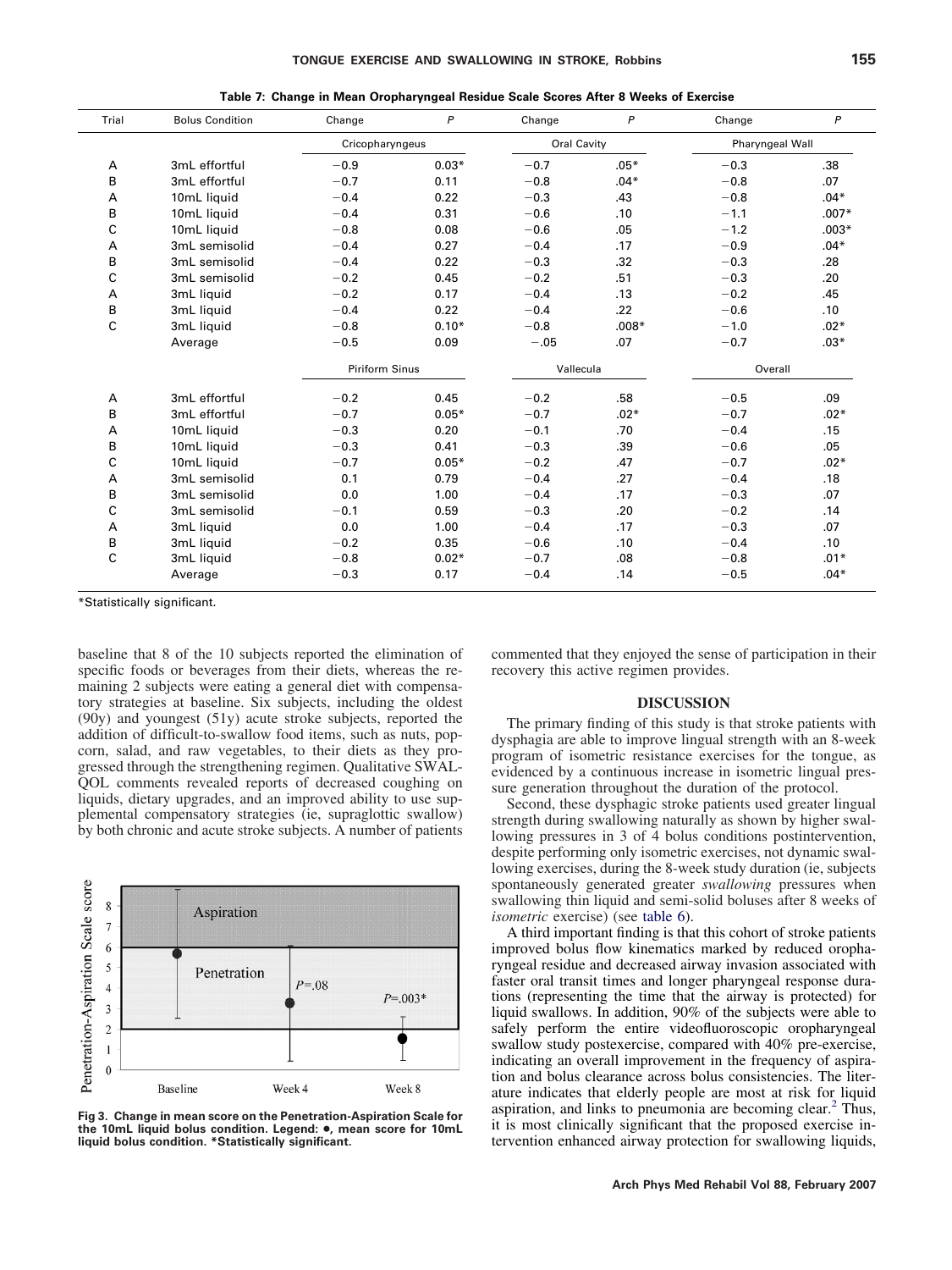<span id="page-5-0"></span>

| Trial | <b>Bolus Condition</b> | Change                | $\mathsf{P}$ | Change    | P           | Change  | $\mathsf{P}$    |
|-------|------------------------|-----------------------|--------------|-----------|-------------|---------|-----------------|
|       |                        | Cricopharyngeus       |              |           | Oral Cavity |         | Pharyngeal Wall |
| А     | 3mL effortful          | $-0.9$                | $0.03*$      | $-0.7$    | $.05*$      | $-0.3$  | .38             |
| B     | 3mL effortful          | $-0.7$                | 0.11         | $-0.8$    | $.04*$      | $-0.8$  | .07             |
| A     | 10mL liquid            | $-0.4$                | 0.22         | $-0.3$    | .43         | $-0.8$  | $.04*$          |
| в     | 10mL liquid            | $-0.4$                | 0.31         | $-0.6$    | .10         | $-1.1$  | $.007*$         |
| C     | 10mL liquid            | $-0.8$                | 0.08         | $-0.6$    | .05         | $-1.2$  | $.003*$         |
| А     | 3mL semisolid          | $-0.4$                | 0.27         | $-0.4$    | .17         | $-0.9$  | $.04*$          |
| B     | 3mL semisolid          | $-0.4$                | 0.22         | $-0.3$    | .32         | $-0.3$  | .28             |
| C     | 3mL semisolid          | $-0.2$                | 0.45         | $-0.2$    | .51         | $-0.3$  | .20             |
| А     | 3mL liquid             | $-0.2$                | 0.17         | $-0.4$    | .13         | $-0.2$  | .45             |
| B     | 3mL liquid             | $-0.4$                | 0.22         | $-0.4$    | .22         | $-0.6$  | .10             |
| C     | 3mL liquid             | $-0.8$                | $0.10*$      | $-0.8$    | $.008*$     | $-1.0$  | $.02*$          |
|       | Average                | $-0.5$                | 0.09         | $-.05$    | .07         | $-0.7$  | $.03*$          |
|       |                        | <b>Piriform Sinus</b> |              | Vallecula |             | Overall |                 |
| А     | 3mL effortful          | $-0.2$                | 0.45         | $-0.2$    | .58         | $-0.5$  | .09             |
| B     | 3mL effortful          | $-0.7$                | $0.05*$      | $-0.7$    | $.02*$      | $-0.7$  | $.02*$          |
| А     | 10mL liquid            | $-0.3$                | 0.20         | $-0.1$    | .70         | $-0.4$  | .15             |
| B     | 10mL liquid            | $-0.3$                | 0.41         | $-0.3$    | .39         | $-0.6$  | .05             |
| С     | 10mL liquid            | $-0.7$                | $0.05*$      | $-0.2$    | .47         | $-0.7$  | $.02*$          |
| A     | 3mL semisolid          | 0.1                   | 0.79         | $-0.4$    | .27         | $-0.4$  | .18             |
| B     | 3mL semisolid          | 0.0                   | 1.00         | $-0.4$    | .17         | $-0.3$  | .07             |
| C     | 3mL semisolid          | $-0.1$                | 0.59         | $-0.3$    | .20         | $-0.2$  | .14             |
| A     | 3mL liquid             | 0.0                   | 1.00         | $-0.4$    | .17         | $-0.3$  | .07             |
| B     | 3mL liquid             | $-0.2$                | 0.35         | $-0.6$    | .10         | $-0.4$  | .10             |
| C     | 3mL liquid             | $-0.8$                | $0.02*$      | $-0.7$    | .08         | $-0.8$  | $.01*$          |
|       | Average                | $-0.3$                | 0.17         | $-0.4$    | .14         | $-0.5$  | $.04*$          |

**Table 7: Change in Mean Oropharyngeal Residue Scale Scores After 8 Weeks of Exercise**

\*Statistically significant.

baseline that 8 of the 10 subjects reported the elimination of specific foods or beverages from their diets, whereas the remaining 2 subjects were eating a general diet with compensatory strategies at baseline. Six subjects, including the oldest (90y) and youngest (51y) acute stroke subjects, reported the addition of difficult-to-swallow food items, such as nuts, popcorn, salad, and raw vegetables, to their diets as they progressed through the strengthening regimen. Qualitative SWAL-QOL comments revealed reports of decreased coughing on liquids, dietary upgrades, and an improved ability to use supplemental compensatory strategies (ie, supraglottic swallow) by both chronic and acute stroke subjects. A number of patients



**Fig 3. Change in mean score on the Penetration-Aspiration Scale for the 10mL liquid bolus condition. Legend:** ●**, mean score for 10mL liquid bolus condition. \*Statistically significant.**

commented that they enjoyed the sense of participation in their recovery this active regimen provides.

### **DISCUSSION**

The primary finding of this study is that stroke patients with dysphagia are able to improve lingual strength with an 8-week program of isometric resistance exercises for the tongue, as evidenced by a continuous increase in isometric lingual pressure generation throughout the duration of the protocol.

Second, these dysphagic stroke patients used greater lingual strength during swallowing naturally as shown by higher swallowing pressures in 3 of 4 bolus conditions postintervention, despite performing only isometric exercises, not dynamic swallowing exercises, during the 8-week study duration (ie, subjects spontaneously generated greater *swallowing* pressures when swallowing thin liquid and semi-solid boluses after 8 weeks of *isometric* exercise) (see [table 6\)](#page-4-0).

A third important finding is that this cohort of stroke patients improved bolus flow kinematics marked by reduced oropharyngeal residue and decreased airway invasion associated with faster oral transit times and longer pharyngeal response durations (representing the time that the airway is protected) for liquid swallows. In addition, 90% of the subjects were able to safely perform the entire videofluoroscopic oropharyngeal swallow study postexercise, compared with 40% pre-exercise, indicating an overall improvement in the frequency of aspiration and bolus clearance across bolus consistencies. The literature indicates that elderly people are most at risk for liquid aspiration, and links to pneumonia are becoming clear. $<sup>2</sup>$  $<sup>2</sup>$  $<sup>2</sup>$  Thus,</sup> it is most clinically significant that the proposed exercise intervention enhanced airway protection for swallowing liquids,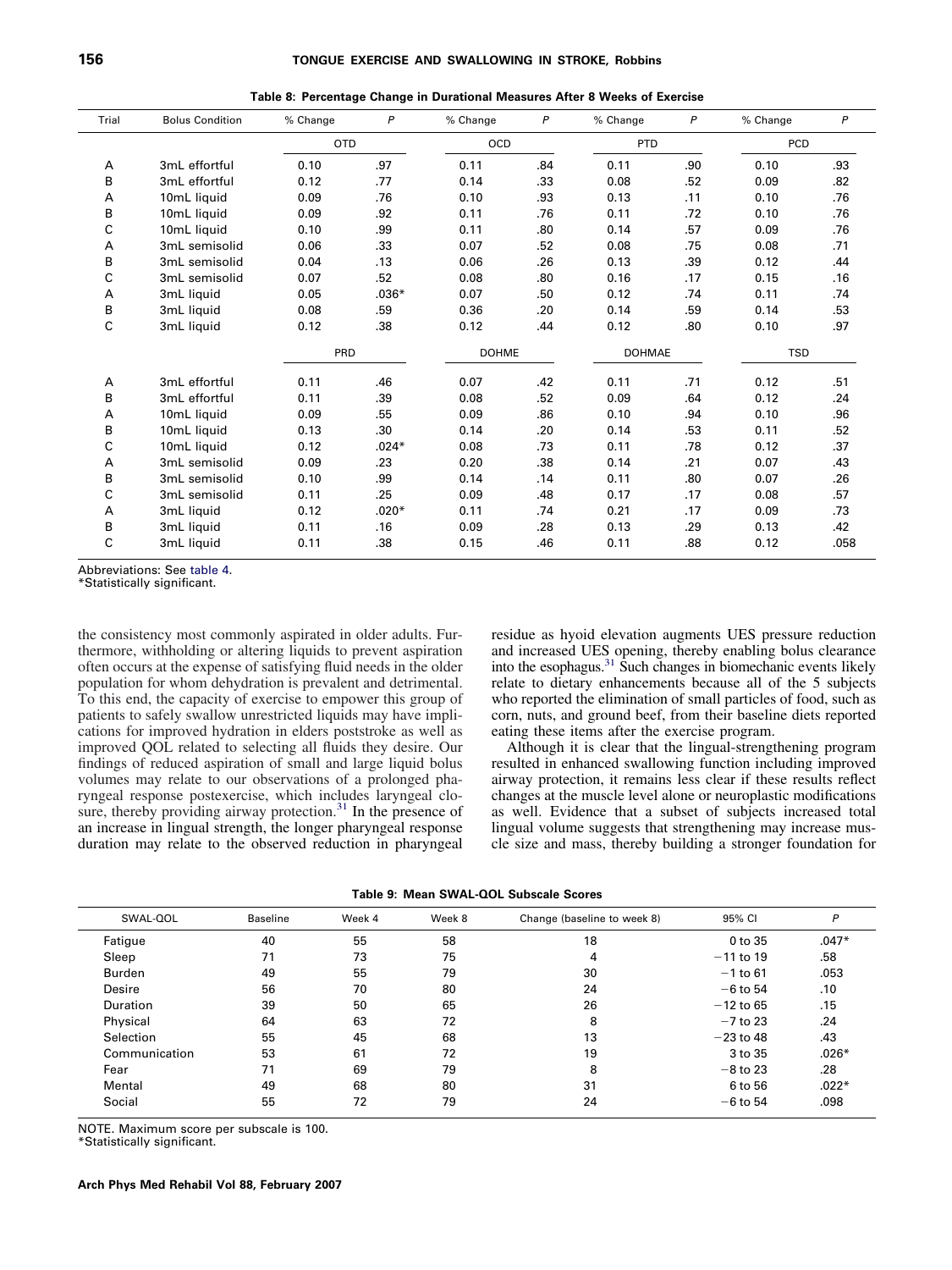<span id="page-6-0"></span>

| Trial | <b>Bolus Condition</b> | % Change   | $\mathsf{P}$ | % Change     | $\mathsf{P}$ | % Change      | $\mathsf{P}$ | % Change   | $\boldsymbol{P}$ |
|-------|------------------------|------------|--------------|--------------|--------------|---------------|--------------|------------|------------------|
|       |                        | <b>OTD</b> |              | OCD          |              | <b>PTD</b>    |              | PCD        |                  |
| Α     | 3mL effortful          | 0.10       | .97          | 0.11         | .84          | 0.11          | .90          | 0.10       | .93              |
| B     | 3mL effortful          | 0.12       | .77          | 0.14         | .33          | 0.08          | .52          | 0.09       | .82              |
| А     | 10mL liquid            | 0.09       | .76          | 0.10         | .93          | 0.13          | .11          | 0.10       | .76              |
| B     | 10mL liquid            | 0.09       | .92          | 0.11         | .76          | 0.11          | .72          | 0.10       | .76              |
| С     | 10mL liquid            | 0.10       | .99          | 0.11         | .80          | 0.14          | .57          | 0.09       | .76              |
| А     | 3mL semisolid          | 0.06       | .33          | 0.07         | .52          | 0.08          | .75          | 0.08       | .71              |
| B     | 3mL semisolid          | 0.04       | .13          | 0.06         | .26          | 0.13          | .39          | 0.12       | .44              |
| С     | 3mL semisolid          | 0.07       | .52          | 0.08         | .80          | 0.16          | .17          | 0.15       | .16              |
| А     | 3mL liquid             | 0.05       | $.036*$      | 0.07         | .50          | 0.12          | .74          | 0.11       | .74              |
| В     | 3mL liquid             | 0.08       | .59          | 0.36         | .20          | 0.14          | .59          | 0.14       | .53              |
| C     | 3mL liquid             | 0.12       | .38          | 0.12         | .44          | 0.12          | .80          | 0.10       | .97              |
|       |                        | PRD        |              | <b>DOHME</b> |              | <b>DOHMAE</b> |              | <b>TSD</b> |                  |
| Α     | 3mL effortful          | 0.11       | .46          | 0.07         | .42          | 0.11          | .71          | 0.12       | .51              |
| B     | 3mL effortful          | 0.11       | .39          | 0.08         | .52          | 0.09          | .64          | 0.12       | .24              |
| А     | 10mL liquid            | 0.09       | .55          | 0.09         | .86          | 0.10          | .94          | 0.10       | .96              |
| B     | 10mL liquid            | 0.13       | .30          | 0.14         | .20          | 0.14          | .53          | 0.11       | .52              |
| C     | 10mL liquid            | 0.12       | $.024*$      | 0.08         | .73          | 0.11          | .78          | 0.12       | .37              |
| А     | 3mL semisolid          | 0.09       | .23          | 0.20         | .38          | 0.14          | .21          | 0.07       | .43              |
| B     | 3mL semisolid          | 0.10       | .99          | 0.14         | .14          | 0.11          | .80          | 0.07       | .26              |
| C     | 3mL semisolid          | 0.11       | .25          | 0.09         | .48          | 0.17          | .17          | 0.08       | .57              |
| А     | 3mL liquid             | 0.12       | $.020*$      | 0.11         | .74          | 0.21          | .17          | 0.09       | .73              |
| B     | 3mL liquid             | 0.11       | .16          | 0.09         | .28          | 0.13          | .29          | 0.13       | .42              |
| C     | 3mL liquid             | 0.11       | .38          | 0.15         | .46          | 0.11          | .88          | 0.12       | .058             |

**Table 8: Percentage Change in Durational Measures After 8 Weeks of Exercise**

Abbreviations: See [table 4.](#page-3-0)

\*Statistically significant.

the consistency most commonly aspirated in older adults. Furthermore, withholding or altering liquids to prevent aspiration often occurs at the expense of satisfying fluid needs in the older population for whom dehydration is prevalent and detrimental. To this end, the capacity of exercise to empower this group of patients to safely swallow unrestricted liquids may have implications for improved hydration in elders poststroke as well as improved QOL related to selecting all fluids they desire. Our findings of reduced aspiration of small and large liquid bolus volumes may relate to our observations of a prolonged pharyngeal response postexercise, which includes laryngeal closure, thereby providing airway protection. $31$  In the presence of an increase in lingual strength, the longer pharyngeal response duration may relate to the observed reduction in pharyngeal

residue as hyoid elevation augments UES pressure reduction and increased UES opening, thereby enabling bolus clearance into the esophagus.<sup>31</sup> Such changes in biomechanic events likely relate to dietary enhancements because all of the 5 subjects who reported the elimination of small particles of food, such as corn, nuts, and ground beef, from their baseline diets reported eating these items after the exercise program.

Although it is clear that the lingual-strengthening program resulted in enhanced swallowing function including improved airway protection, it remains less clear if these results reflect changes at the muscle level alone or neuroplastic modifications as well. Evidence that a subset of subjects increased total lingual volume suggests that strengthening may increase muscle size and mass, thereby building a stronger foundation for

| Table 9: Mean SWAL-QOL Subscale Scores |  |  |  |
|----------------------------------------|--|--|--|
|----------------------------------------|--|--|--|

| SWAL-QOL        | <b>Baseline</b> | Week 4 | Week 8 | Change (baseline to week 8) | 95% CI      | P       |
|-----------------|-----------------|--------|--------|-----------------------------|-------------|---------|
| Fatigue         | 40              | 55     | 58     | 18                          | 0 to 35     | $.047*$ |
| Sleep           | 71              | 73     | 75     | 4                           | $-11$ to 19 | .58     |
| Burden          | 49              | 55     | 79     | 30                          | $-1$ to 61  | .053    |
| Desire          | 56              | 70     | 80     | 24                          | $-6$ to 54  | .10     |
| <b>Duration</b> | 39              | 50     | 65     | 26                          | $-12$ to 65 | .15     |
| Physical        | 64              | 63     | 72     | 8                           | $-7$ to 23  | .24     |
| Selection       | 55              | 45     | 68     | 13                          | $-23$ to 48 | .43     |
| Communication   | 53              | 61     | 72     | 19                          | 3 to 35     | $.026*$ |
| Fear            | 71              | 69     | 79     | 8                           | $-8$ to 23  | .28     |
| Mental          | 49              | 68     | 80     | 31                          | 6 to 56     | $.022*$ |
| Social          | 55              | 72     | 79     | 24                          | $-6$ to 54  | .098    |

NOTE. Maximum score per subscale is 100.

\*Statistically significant.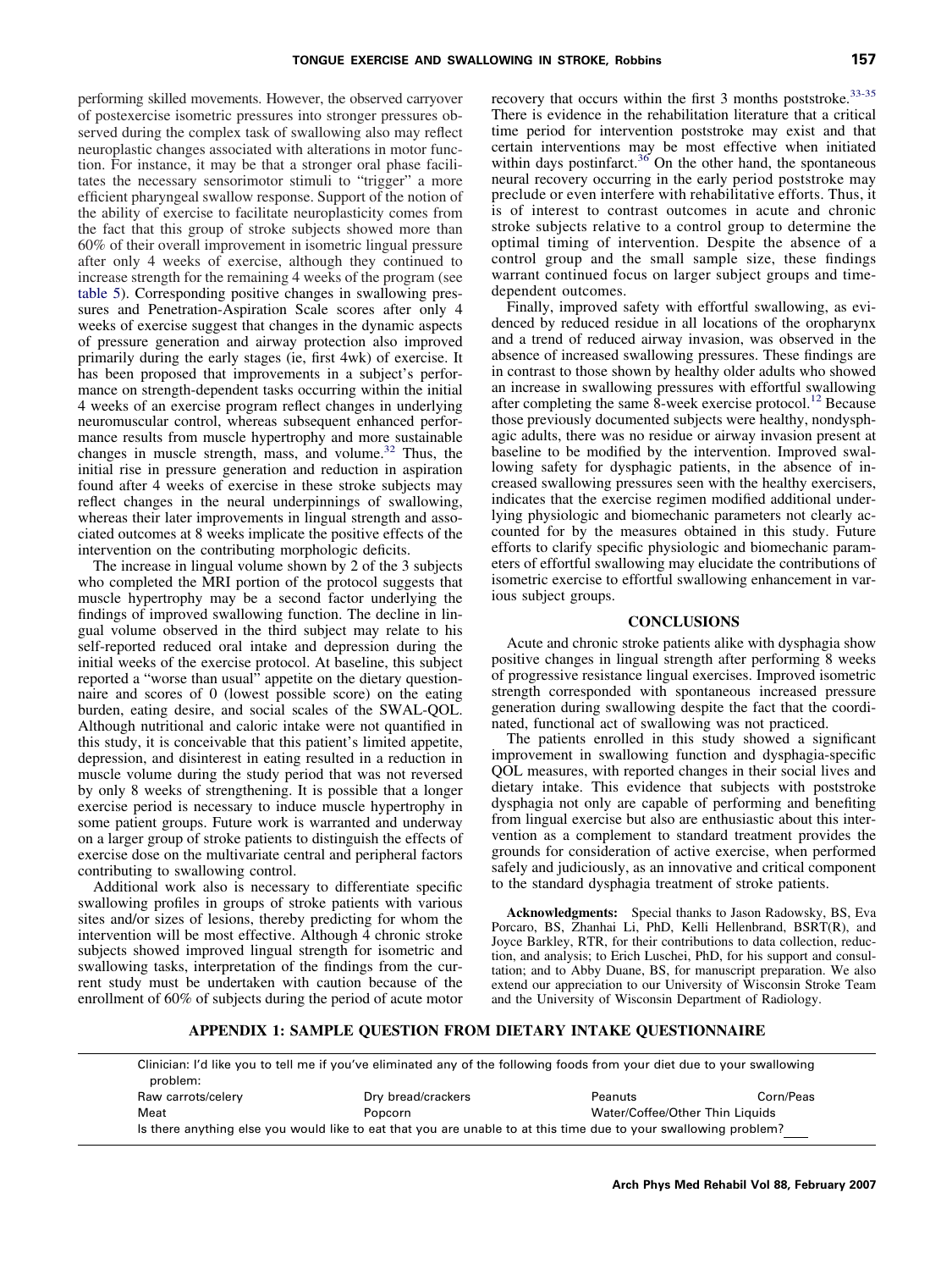performing skilled movements. However, the observed carryover of postexercise isometric pressures into stronger pressures observed during the complex task of swallowing also may reflect neuroplastic changes associated with alterations in motor function. For instance, it may be that a stronger oral phase facilitates the necessary sensorimotor stimuli to "trigger" a more efficient pharyngeal swallow response. Support of the notion of the ability of exercise to facilitate neuroplasticity comes from the fact that this group of stroke subjects showed more than 60% of their overall improvement in isometric lingual pressure after only 4 weeks of exercise, although they continued to increase strength for the remaining 4 weeks of the program (see [table 5\)](#page-4-0). Corresponding positive changes in swallowing pressures and Penetration-Aspiration Scale scores after only 4 weeks of exercise suggest that changes in the dynamic aspects of pressure generation and airway protection also improved primarily during the early stages (ie, first 4wk) of exercise. It has been proposed that improvements in a subject's performance on strength-dependent tasks occurring within the initial 4 weeks of an exercise program reflect changes in underlying neuromuscular control, whereas subsequent enhanced performance results from muscle hypertrophy and more sustainable changes in muscle strength, mass, and volume.<sup>[32](#page-8-0)</sup> Thus, the initial rise in pressure generation and reduction in aspiration found after 4 weeks of exercise in these stroke subjects may reflect changes in the neural underpinnings of swallowing, whereas their later improvements in lingual strength and associated outcomes at 8 weeks implicate the positive effects of the intervention on the contributing morphologic deficits.

The increase in lingual volume shown by 2 of the 3 subjects who completed the MRI portion of the protocol suggests that muscle hypertrophy may be a second factor underlying the findings of improved swallowing function. The decline in lingual volume observed in the third subject may relate to his self-reported reduced oral intake and depression during the initial weeks of the exercise protocol. At baseline, this subject reported a "worse than usual" appetite on the dietary questionnaire and scores of 0 (lowest possible score) on the eating burden, eating desire, and social scales of the SWAL-QOL. Although nutritional and caloric intake were not quantified in this study, it is conceivable that this patient's limited appetite, depression, and disinterest in eating resulted in a reduction in muscle volume during the study period that was not reversed by only 8 weeks of strengthening. It is possible that a longer exercise period is necessary to induce muscle hypertrophy in some patient groups. Future work is warranted and underway on a larger group of stroke patients to distinguish the effects of exercise dose on the multivariate central and peripheral factors contributing to swallowing control.

Additional work also is necessary to differentiate specific swallowing profiles in groups of stroke patients with various sites and/or sizes of lesions, thereby predicting for whom the intervention will be most effective. Although 4 chronic stroke subjects showed improved lingual strength for isometric and swallowing tasks, interpretation of the findings from the current study must be undertaken with caution because of the enrollment of 60% of subjects during the period of acute motor

recovery that occurs within the first 3 months poststroke.<sup>[33-35](#page-8-0)</sup> There is evidence in the rehabilitation literature that a critical time period for intervention poststroke may exist and that certain interventions may be most effective when initiated within days postinfarct.<sup>[36](#page-8-0)</sup> On the other hand, the spontaneous neural recovery occurring in the early period poststroke may preclude or even interfere with rehabilitative efforts. Thus, it is of interest to contrast outcomes in acute and chronic stroke subjects relative to a control group to determine the optimal timing of intervention. Despite the absence of a control group and the small sample size, these findings warrant continued focus on larger subject groups and timedependent outcomes.

Finally, improved safety with effortful swallowing, as evidenced by reduced residue in all locations of the oropharynx and a trend of reduced airway invasion, was observed in the absence of increased swallowing pressures. These findings are in contrast to those shown by healthy older adults who showed an increase in swallowing pressures with effortful swallowing after completing the same  $\hat{8}$ -week exercise protocol.<sup>[12](#page-8-0)</sup> Because those previously documented subjects were healthy, nondysphagic adults, there was no residue or airway invasion present at baseline to be modified by the intervention. Improved swallowing safety for dysphagic patients, in the absence of increased swallowing pressures seen with the healthy exercisers, indicates that the exercise regimen modified additional underlying physiologic and biomechanic parameters not clearly accounted for by the measures obtained in this study. Future efforts to clarify specific physiologic and biomechanic parameters of effortful swallowing may elucidate the contributions of isometric exercise to effortful swallowing enhancement in various subject groups.

#### **CONCLUSIONS**

Acute and chronic stroke patients alike with dysphagia show positive changes in lingual strength after performing 8 weeks of progressive resistance lingual exercises. Improved isometric strength corresponded with spontaneous increased pressure generation during swallowing despite the fact that the coordinated, functional act of swallowing was not practiced.

The patients enrolled in this study showed a significant improvement in swallowing function and dysphagia-specific QOL measures, with reported changes in their social lives and dietary intake. This evidence that subjects with poststroke dysphagia not only are capable of performing and benefiting from lingual exercise but also are enthusiastic about this intervention as a complement to standard treatment provides the grounds for consideration of active exercise, when performed safely and judiciously, as an innovative and critical component to the standard dysphagia treatment of stroke patients.

**Acknowledgments:** Special thanks to Jason Radowsky, BS, Eva Porcaro, BS, Zhanhai Li, PhD, Kelli Hellenbrand, BSRT(R), and Joyce Barkley, RTR, for their contributions to data collection, reduction, and analysis; to Erich Luschei, PhD, for his support and consultation; and to Abby Duane, BS, for manuscript preparation. We also extend our appreciation to our University of Wisconsin Stroke Team and the University of Wisconsin Department of Radiology.

# **APPENDIX 1: SAMPLE QUESTION FROM DIETARY INTAKE QUESTIONNAIRE**

Clinician: I'd like you to tell me if you've eliminated any of the following foods from your diet due to your swallowing problem: Raw carrots/celery example as the Dry bread/crackers example as Peanuts Corn/Peas Meat Popcorn Water/Coffee/Other Thin Liquids Is there anything else you would like to eat that you are unable to at this time due to your swallowing problem?